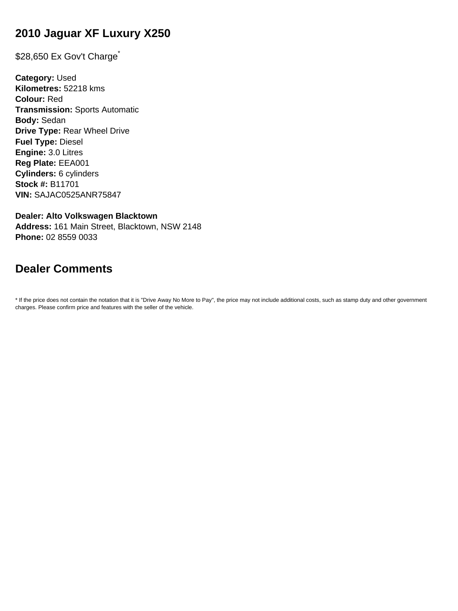# **2010 Jaguar XF Luxury X250**

\$28,650 Ex Gov't Charge<sup>\*</sup>

**Category:** Used **Kilometres:** 52218 kms **Colour:** Red **Transmission:** Sports Automatic **Body:** Sedan **Drive Type:** Rear Wheel Drive **Fuel Type:** Diesel **Engine:** 3.0 Litres **Reg Plate:** EEA001 **Cylinders:** 6 cylinders **Stock #:** B11701 **VIN:** SAJAC0525ANR75847

**Dealer: Alto Volkswagen Blacktown Address:** 161 Main Street, Blacktown, NSW 2148 **Phone:** 02 8559 0033

# **Dealer Comments**

\* If the price does not contain the notation that it is "Drive Away No More to Pay", the price may not include additional costs, such as stamp duty and other government charges. Please confirm price and features with the seller of the vehicle.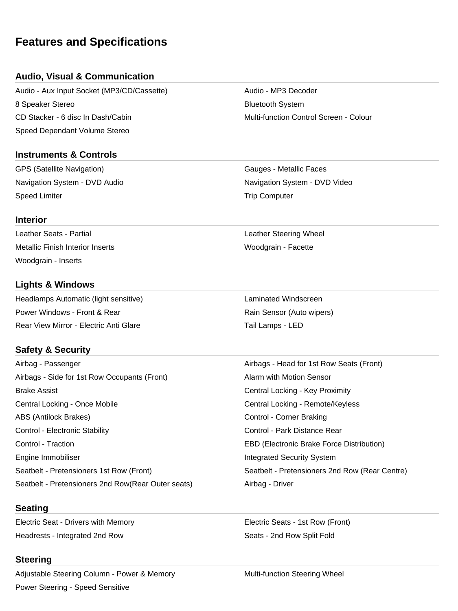# **Features and Specifications**

## **Audio, Visual & Communication**

Audio - Aux Input Socket (MP3/CD/Cassette) Audio - MP3 Decoder 8 Speaker Stereo **Bluetooth System** Bluetooth System CD Stacker - 6 disc In Dash/Cabin Multi-function Control Screen - Colour Speed Dependant Volume Stereo

### **Instruments & Controls**

GPS (Satellite Navigation) and Gaugust Caugust - Metallic Faces Navigation System - DVD Audio Navigation System - DVD Video Speed Limiter **Trip Computer** Speed Limiter **Trip Computer** Trip Computer

Leather Seats - Partial **Leather Steering Wheel** Metallic Finish Interior Inserts **Woodgrain - Facette** 

## **Lights & Windows**

Woodgrain - Inserts

**Interior**

Headlamps Automatic (light sensitive) Laminated Windscreen Power Windows - Front & Rear Rain Sensor (Auto wipers) Rear View Mirror - Electric Anti Glare Tail Lamps - LED

## **Safety & Security**

Airbag - Passenger **Airbags - Head for 1st Row Seats (Front)** Airbags - Side for 1st Row Occupants (Front) Alarm with Motion Sensor Brake Assist Central Locking - Key Proximity Central Locking - Once Mobile Central Locking - Remote/Keyless ABS (Antilock Brakes) Control - Corner Braking Control - Electronic Stability **Control - Control - Park Distance Rear** Control - Traction EBD (Electronic Brake Force Distribution) Engine Immobiliser **Integrated Security System** Seatbelt - Pretensioners 1st Row (Front) Seatbelt - Pretensioners 2nd Row (Rear Centre) Seatbelt - Pretensioners 2nd Row(Rear Outer seats) Airbag - Driver

### **Seating**

Electric Seat - Drivers with Memory Electric Seats - 1st Row (Front) Headrests - Integrated 2nd Row Seats - 2nd Row Split Fold

### **Steering**

Adjustable Steering Column - Power & Memory **Multi-function Steering Wheel** Power Steering - Speed Sensitive